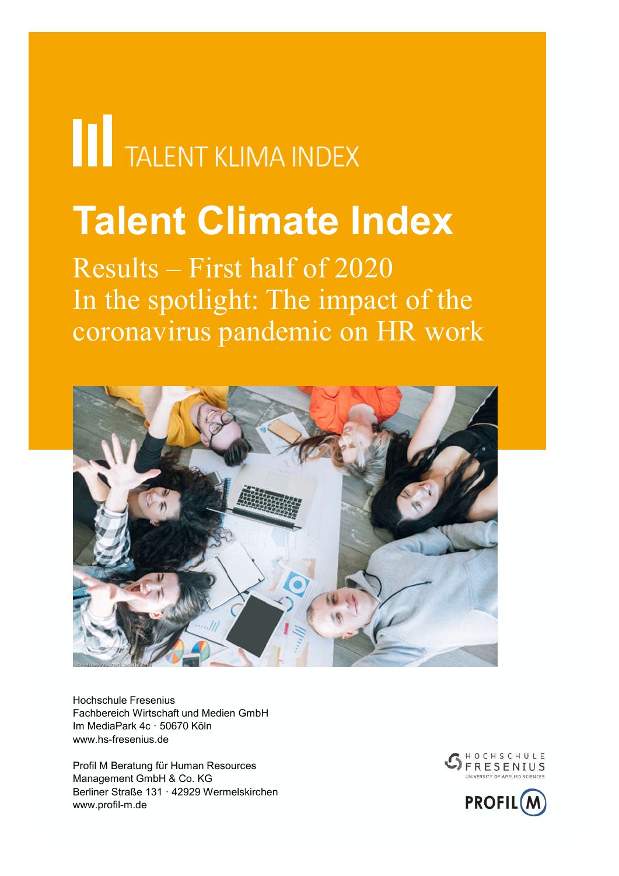# **THE TALENT KLIMA INDEX**

## Talent Climate Index

Results – First half of 2020 In the spotlight: The impact of the coronavirus pandemic on HR work



Hochschule Fresenius Fachbereich Wirtschaft und Medien GmbH Im MediaPark 4c · 50670 Köln www.hs-fresenius.de

Profil M Beratung für Human Resources Management GmbH & Co. KG Berliner Straße 131 · 42929 Wermelskirchen www.profil-m.de



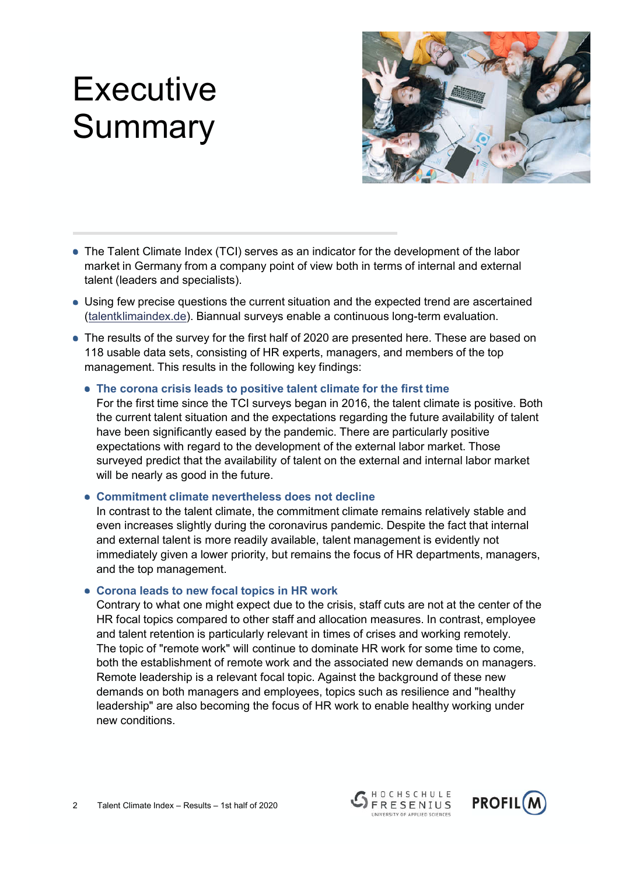### **Executive** Summary



- The Talent Climate Index (TCI) serves as an indicator for the development of the labor market in Germany from a company point of view both in terms of internal and external talent (leaders and specialists).
- Using few precise questions the current situation and the expected trend are ascertained (talentklimaindex.de). Biannual surveys enable a continuous long-term evaluation.
- The results of the survey for the first half of 2020 are presented here. These are based on 118 usable data sets, consisting of HR experts, managers, and members of the top management. This results in the following key findings:
	- The corona crisis leads to positive talent climate for the first time

For the first time since the TCI surveys began in 2016, the talent climate is positive. Both the current talent situation and the expectations regarding the future availability of talent have been significantly eased by the pandemic. There are particularly positive expectations with regard to the development of the external labor market. Those surveyed predict that the availability of talent on the external and internal labor market will be nearly as good in the future.

#### Commitment climate nevertheless does not decline

In contrast to the talent climate, the commitment climate remains relatively stable and even increases slightly during the coronavirus pandemic. Despite the fact that internal and external talent is more readily available, talent management is evidently not immediately given a lower priority, but remains the focus of HR departments, managers, and the top management.

#### Corona leads to new focal topics in HR work

Contrary to what one might expect due to the crisis, staff cuts are not at the center of the HR focal topics compared to other staff and allocation measures. In contrast, employee and talent retention is particularly relevant in times of crises and working remotely. The topic of "remote work" will continue to dominate HR work for some time to come, both the establishment of remote work and the associated new demands on managers. Remote leadership is a relevant focal topic. Against the background of these new demands on both managers and employees, topics such as resilience and "healthy leadership" are also becoming the focus of HR work to enable healthy working under new conditions.



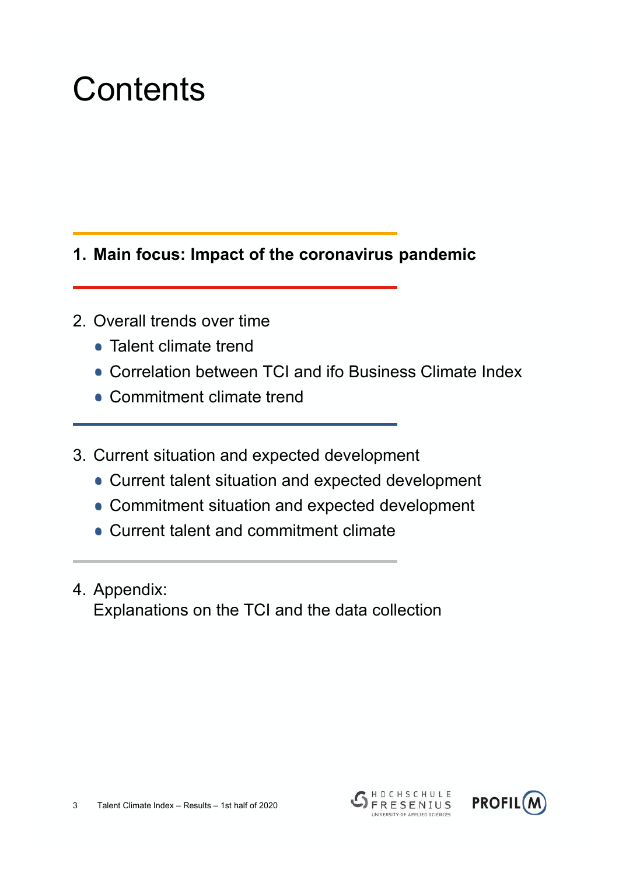### **Contents**

#### 1. Main focus: Impact of the coronavirus pandemic

- 2. Overall trends over time
	- Talent climate trend
	- Correlation between TCI and ifo Business Climate Index
	- Commitment climate trend
- 3. Current situation and expected development
	- Current talent situation and expected development
	- Commitment situation and expected development
	- Current talent and commitment climate
- 4. Appendix:

Explanations on the TCI and the data collection

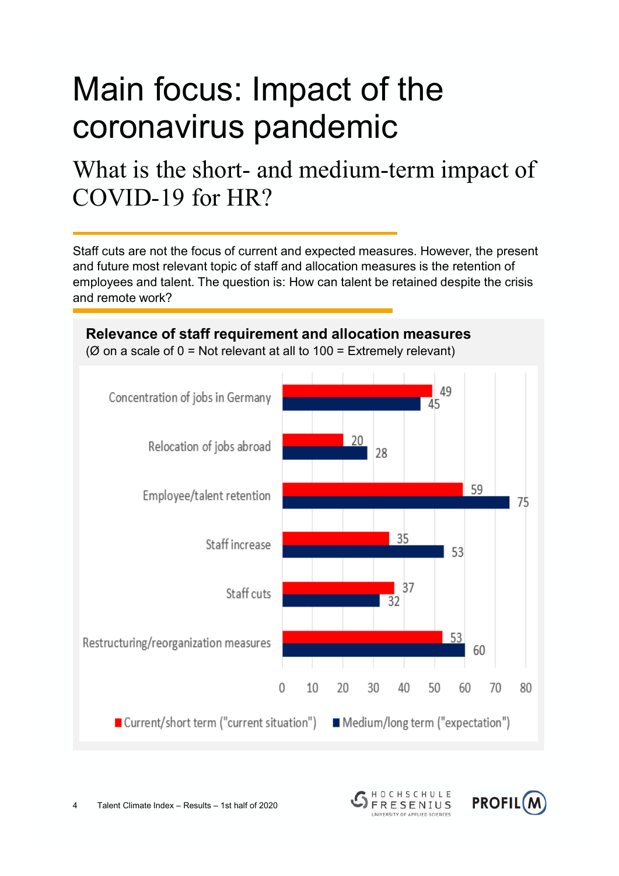What is the short- and medium-term impact of COVID-19 for HR?

Staff cuts are not the focus of current and expected measures. However, the present and future most relevant topic of staff and allocation measures is the retention of employees and talent. The question is: How can talent be retained despite the crisis and remote work?





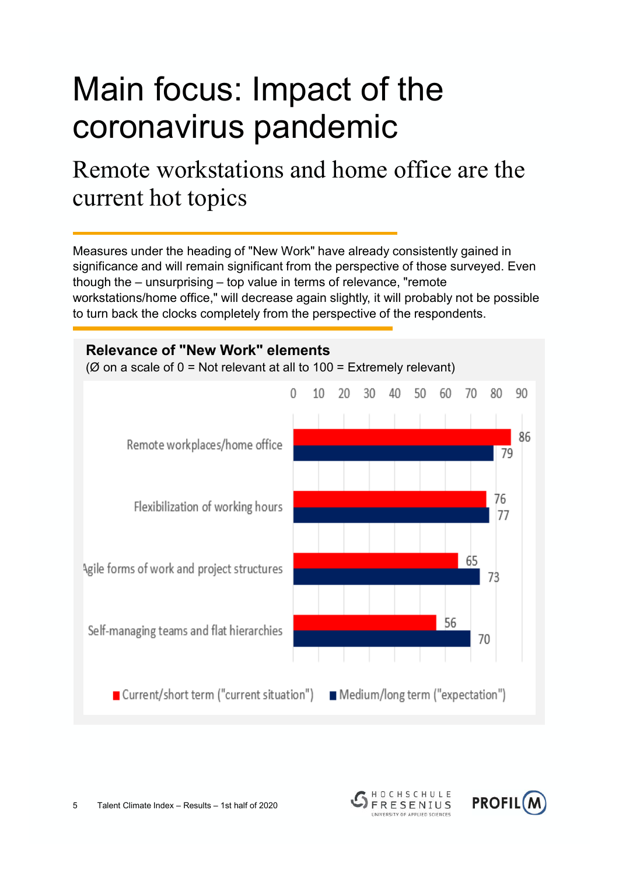### Remote workstations and home office are the current hot topics

Measures under the heading of "New Work" have already consistently gained in significance and will remain significant from the perspective of those surveyed. Even though the – unsurprising – top value in terms of relevance, "remote workstations/home office," will decrease again slightly, it will probably not be possible to turn back the clocks completely from the perspective of the respondents.





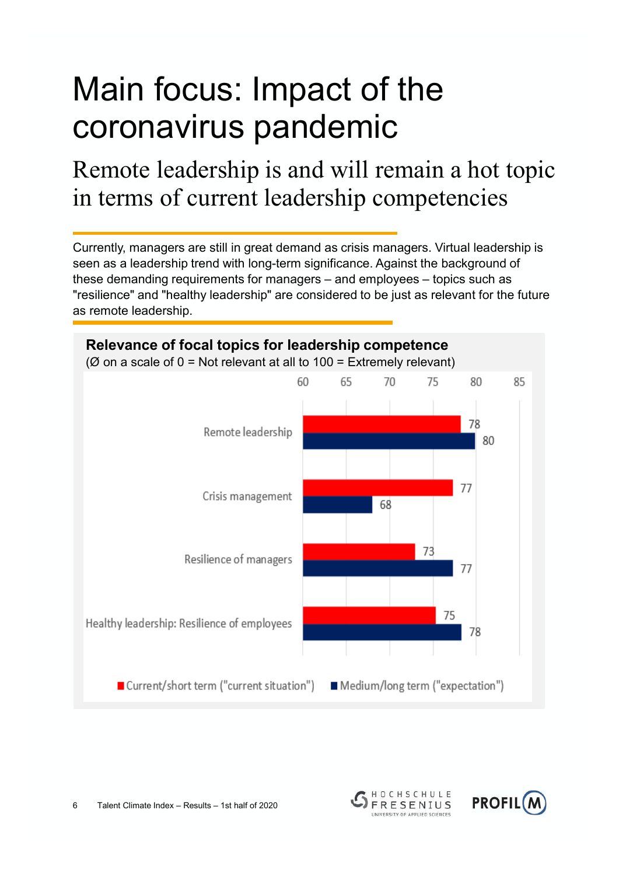Remote leadership is and will remain a hot topic in terms of current leadership competencies

Currently, managers are still in great demand as crisis managers. Virtual leadership is seen as a leadership trend with long-term significance. Against the background of these demanding requirements for managers – and employees – topics such as "resilience" and "healthy leadership" are considered to be just as relevant for the future as remote leadership.





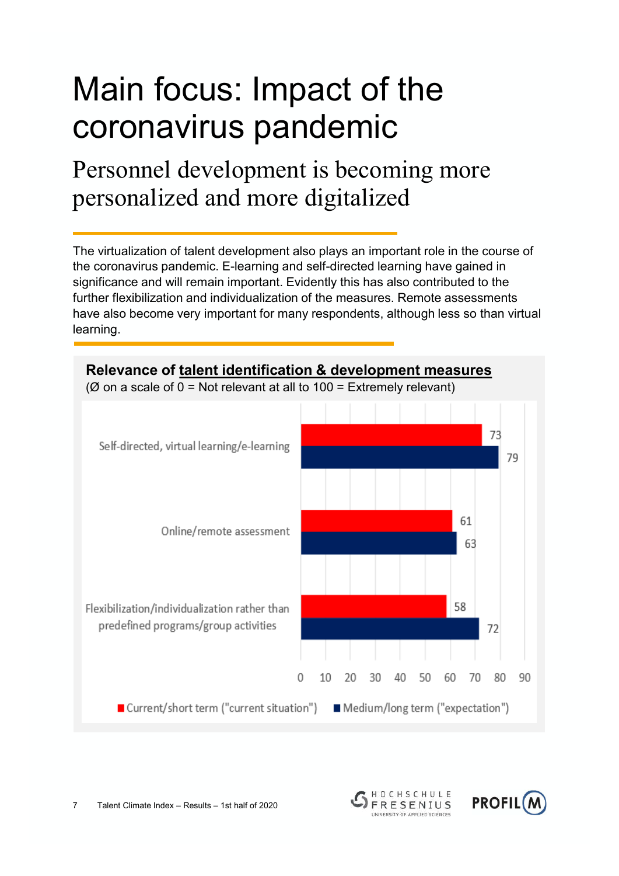Personnel development is becoming more personalized and more digitalized

The virtualization of talent development also plays an important role in the course of the coronavirus pandemic. E-learning and self-directed learning have gained in significance and will remain important. Evidently this has also contributed to the further flexibilization and individualization of the measures. Remote assessments have also become very important for many respondents, although less so than virtual learning.





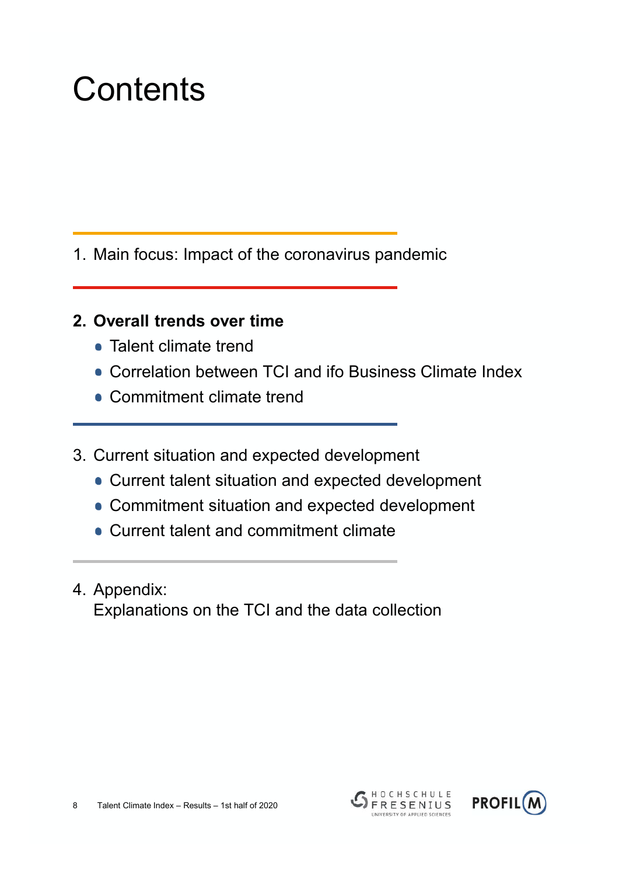### **Contents**

1. Main focus: Impact of the coronavirus pandemic

#### 2. Overall trends over time

- Talent climate trend
- Correlation between TCI and ifo Business Climate Index
- Commitment climate trend
- 3. Current situation and expected development
	- Current talent situation and expected development
	- Commitment situation and expected development
	- Current talent and commitment climate
- 4. Appendix:

Explanations on the TCI and the data collection

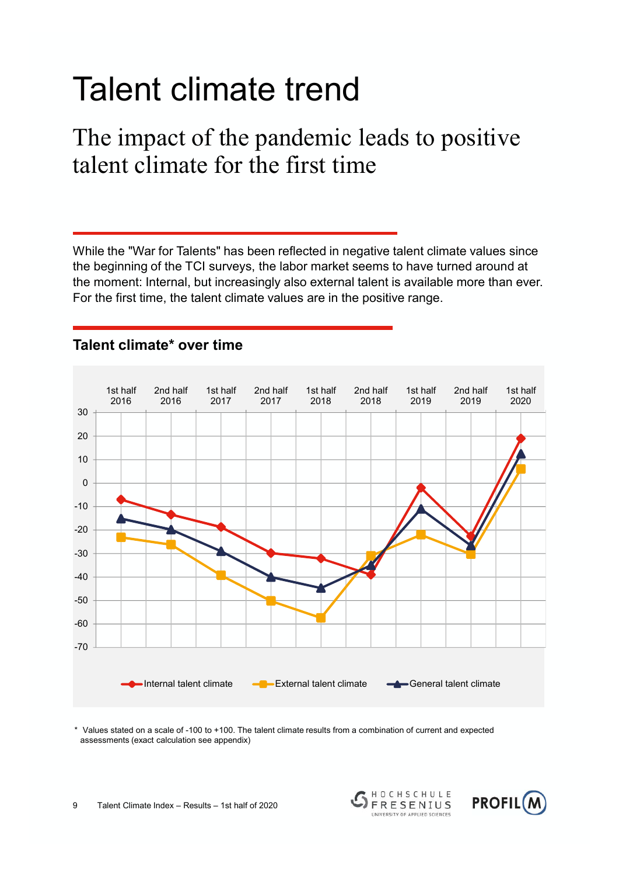### Talent climate trend

The impact of the pandemic leads to positive talent climate for the first time

While the "War for Talents" has been reflected in negative talent climate values since the beginning of the TCI surveys, the labor market seems to have turned around at the moment: Internal, but increasingly also external talent is available more than ever. For the first time, the talent climate values are in the positive range.



#### Talent climate\* over time

\* Values stated on a scale of -100 to +100. The talent climate results from a combination of current and expected assessments (exact calculation see appendix)



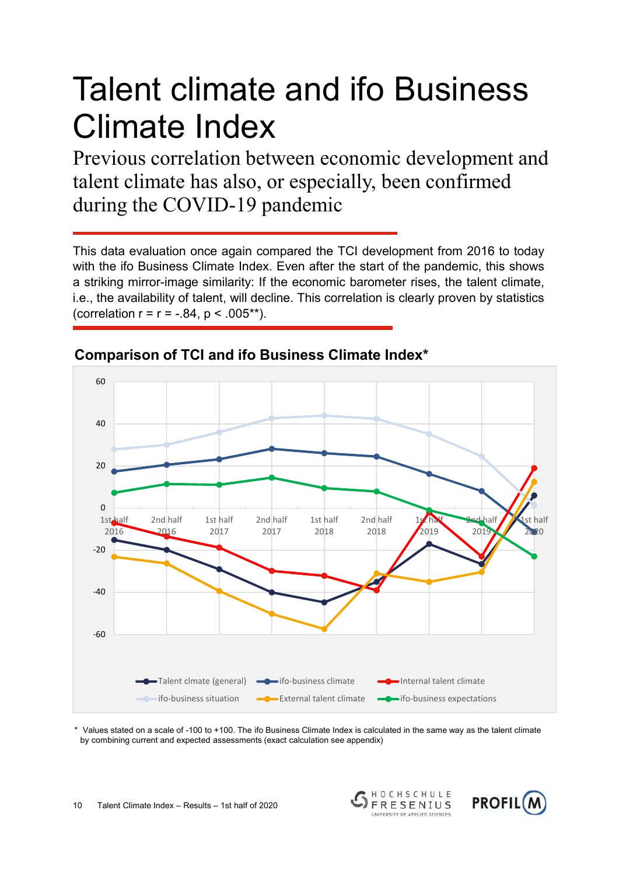### Talent climate and ifo Business Climate Index

Previous correlation between economic development and talent climate has also, or especially, been confirmed during the COVID-19 pandemic

This data evaluation once again compared the TCI development from 2016 to today with the ifo Business Climate Index. Even after the start of the pandemic, this shows a striking mirror-image similarity: If the economic barometer rises, the talent climate, i.e., the availability of talent, will decline. This correlation is clearly proven by statistics (correlation  $r = r = -.84$ ,  $p < .005**$ ).



#### Comparison of TCI and ifo Business Climate Index\*

\* Values stated on a scale of -100 to +100. The ifo Business Climate Index is calculated in the same way as the talent climate by combining current and expected assessments (exact calculation see appendix)



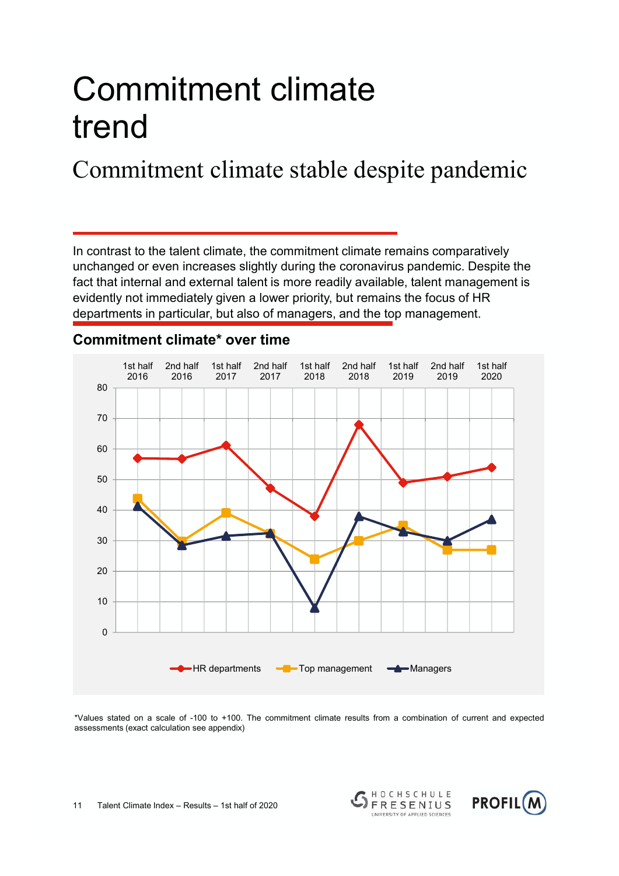### Commitment climate trend

### Commitment climate stable despite pandemic

In contrast to the talent climate, the commitment climate remains comparatively unchanged or even increases slightly during the coronavirus pandemic. Despite the fact that internal and external talent is more readily available, talent management is evidently not immediately given a lower priority, but remains the focus of HR departments in particular, but also of managers, and the top management.



#### Commitment climate\* over time

\*Values stated on a scale of -100 to +100. The commitment climate results from a combination of current and expected assessments (exact calculation see appendix)



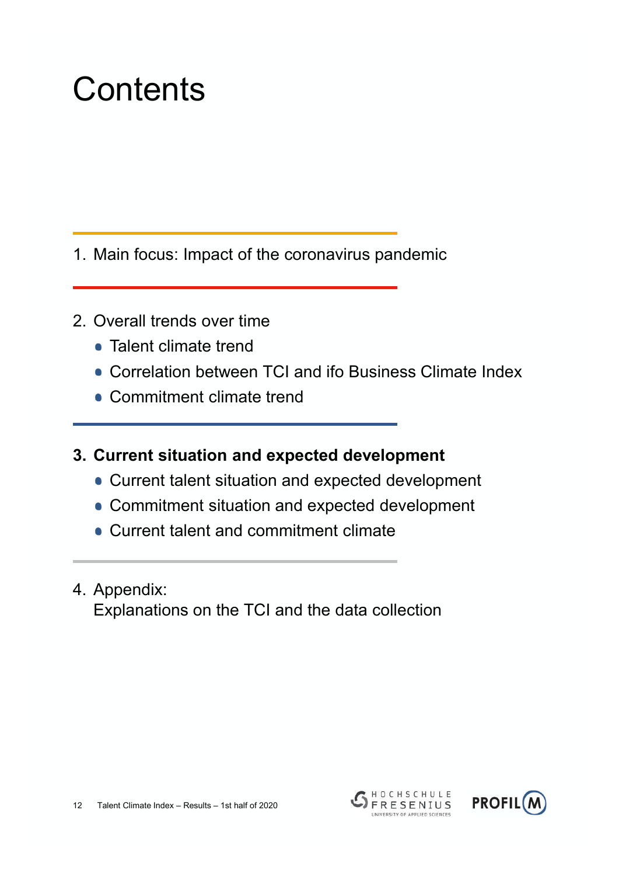### **Contents**

1. Main focus: Impact of the coronavirus pandemic

- 2. Overall trends over time
	- Talent climate trend
	- Correlation between TCI and ifo Business Climate Index
	- Commitment climate trend
- 3. Current situation and expected development
	- Current talent situation and expected development
	- Commitment situation and expected development
	- Current talent and commitment climate
- 4. Appendix:

Explanations on the TCI and the data collection

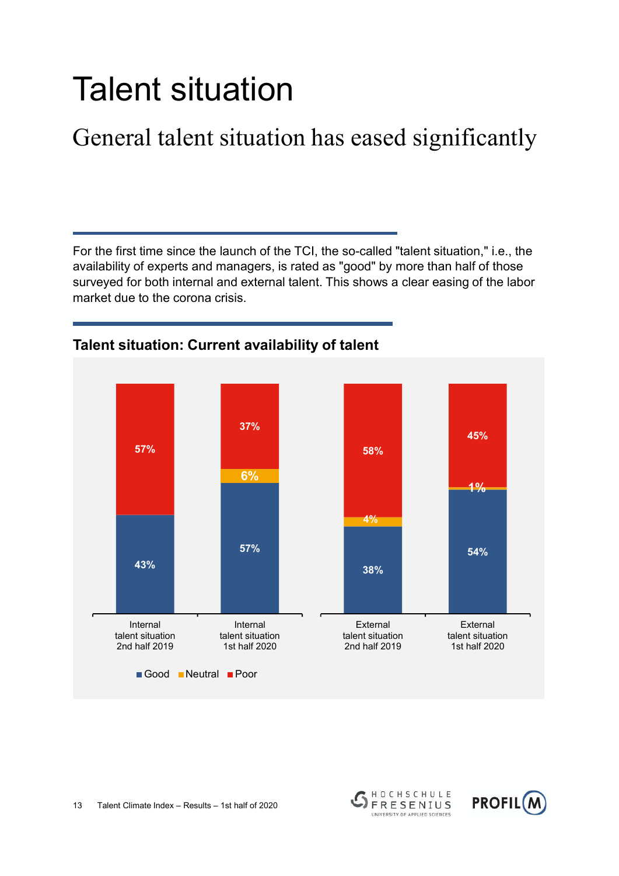## Talent situation

### General talent situation has eased significantly

For the first time since the launch of the TCI, the so-called "talent situation," i.e., the availability of experts and managers, is rated as "good" by more than half of those surveyed for both internal and external talent. This shows a clear easing of the labor market due to the corona crisis.



#### Talent situation: Current availability of talent



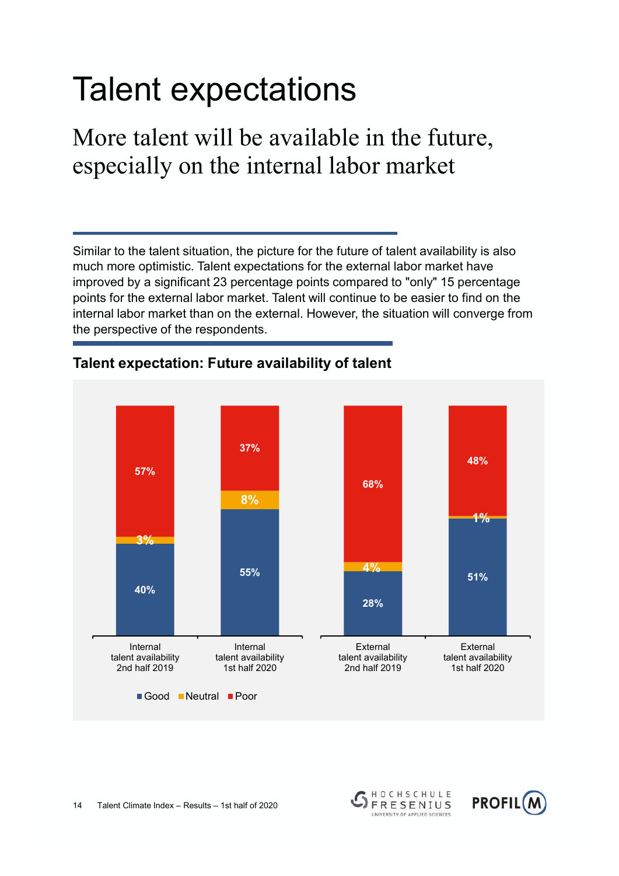## Talent expectations

More talent will be available in the future, especially on the internal labor market

Similar to the talent situation, the picture for the future of talent availability is also much more optimistic. Talent expectations for the external labor market have improved by a significant 23 percentage points compared to "only" 15 percentage points for the external labor market. Talent will continue to be easier to find on the internal labor market than on the external. However, the situation will converge from the perspective of the respondents.



#### Talent expectation: Future availability of talent



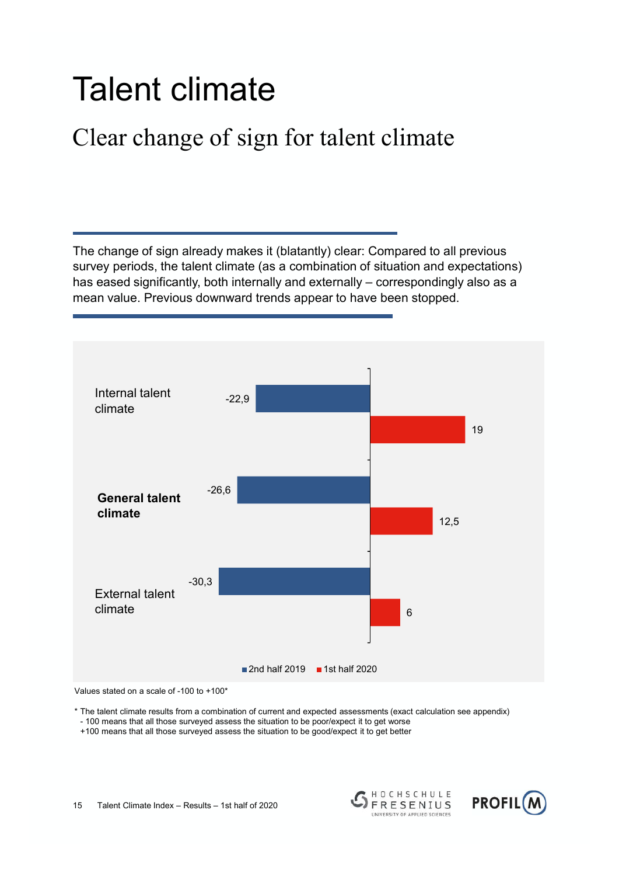### Talent climate

### Clear change of sign for talent climate

The change of sign already makes it (blatantly) clear: Compared to all previous survey periods, the talent climate (as a combination of situation and expectations) has eased significantly, both internally and externally – correspondingly also as a mean value. Previous downward trends appear to have been stopped.



Values stated on a scale of -100 to +100\*

\* The talent climate results from a combination of current and expected assessments (exact calculation see appendix) - 100 means that all those surveyed assess the situation to be poor/expect it to get worse

+100 means that all those surveyed assess the situation to be good/expect it to get better

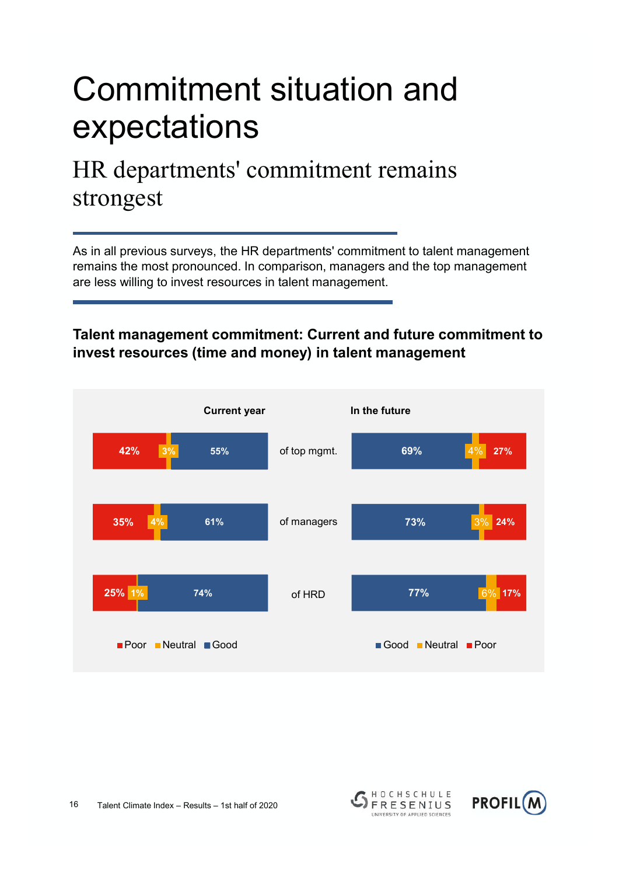### Commitment situation and expectations

### HR departments' commitment remains strongest

As in all previous surveys, the HR departments' commitment to talent management remains the most pronounced. In comparison, managers and the top management are less willing to invest resources in talent management.

#### Talent management commitment: Current and future commitment to invest resources (time and money) in talent management





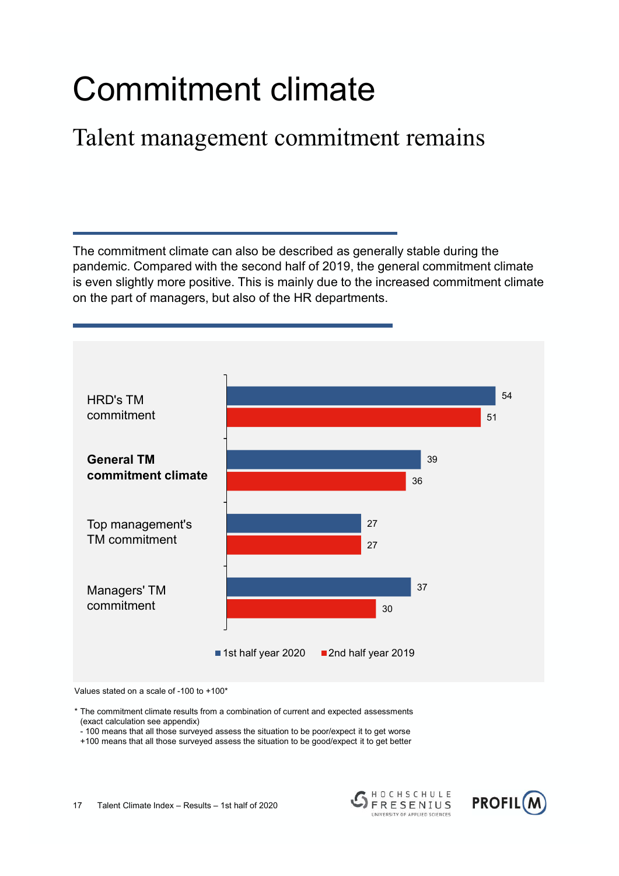## Commitment climate

### Talent management commitment remains

The commitment climate can also be described as generally stable during the pandemic. Compared with the second half of 2019, the general commitment climate is even slightly more positive. This is mainly due to the increased commitment climate on the part of managers, but also of the HR departments.



Values stated on a scale of -100 to +100\*

- \* The commitment climate results from a combination of current and expected assessments (exact calculation see appendix)
- 100 means that all those surveyed assess the situation to be poor/expect it to get worse
- +100 means that all those surveyed assess the situation to be good/expect it to get better



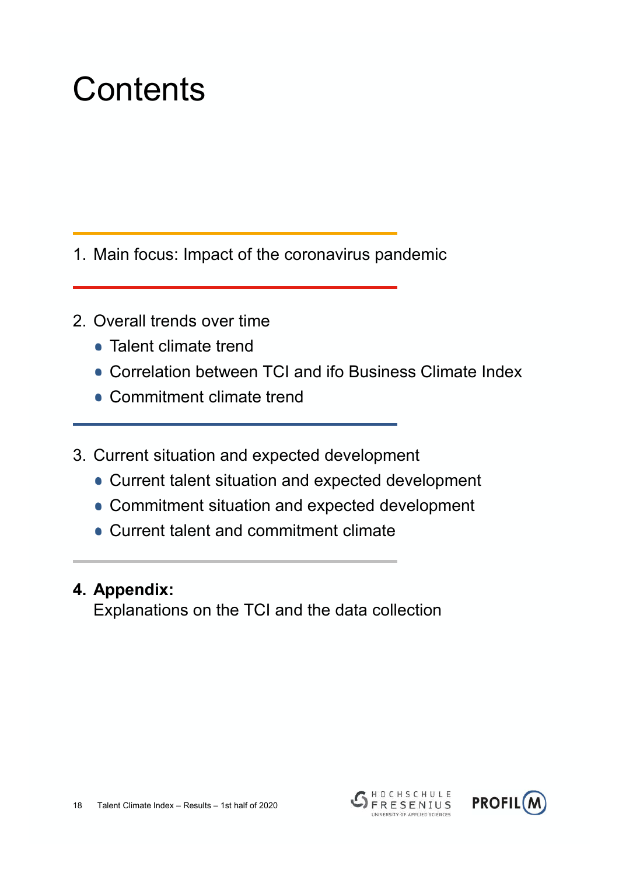### **Contents**

1. Main focus: Impact of the coronavirus pandemic

- 2. Overall trends over time
	- Talent climate trend
	- Correlation between TCI and ifo Business Climate Index
	- Commitment climate trend
- 3. Current situation and expected development
	- Current talent situation and expected development
	- Commitment situation and expected development
	- Current talent and commitment climate

#### 4. Appendix:

Explanations on the TCI and the data collection

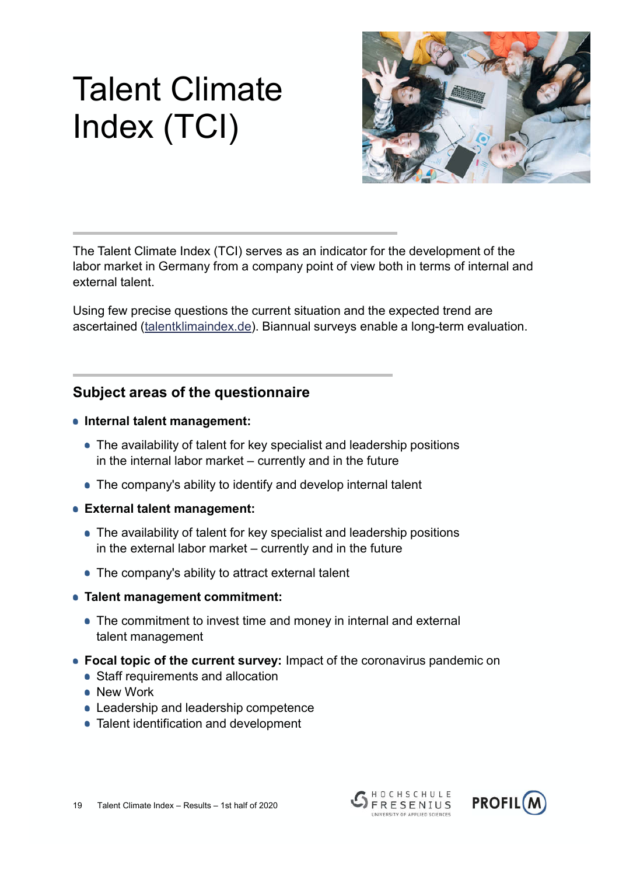

The Talent Climate Index (TCI) serves as an indicator for the development of the labor market in Germany from a company point of view both in terms of internal and external talent.

Using few precise questions the current situation and the expected trend are ascertained (talentklimaindex.de). Biannual surveys enable a long-term evaluation.

#### Subject areas of the questionnaire

- Internal talent management:
	- The availability of talent for key specialist and leadership positions in the internal labor market – currently and in the future
	- The company's ability to identify and develop internal talent
- External talent management:
	- The availability of talent for key specialist and leadership positions in the external labor market – currently and in the future
	- The company's ability to attract external talent
- Talent management commitment:
	- The commitment to invest time and money in internal and external talent management
- Focal topic of the current survey: Impact of the coronavirus pandemic on
	- Staff requirements and allocation
	- **New Work**
	- **Leadership and leadership competence**
	- Talent identification and development



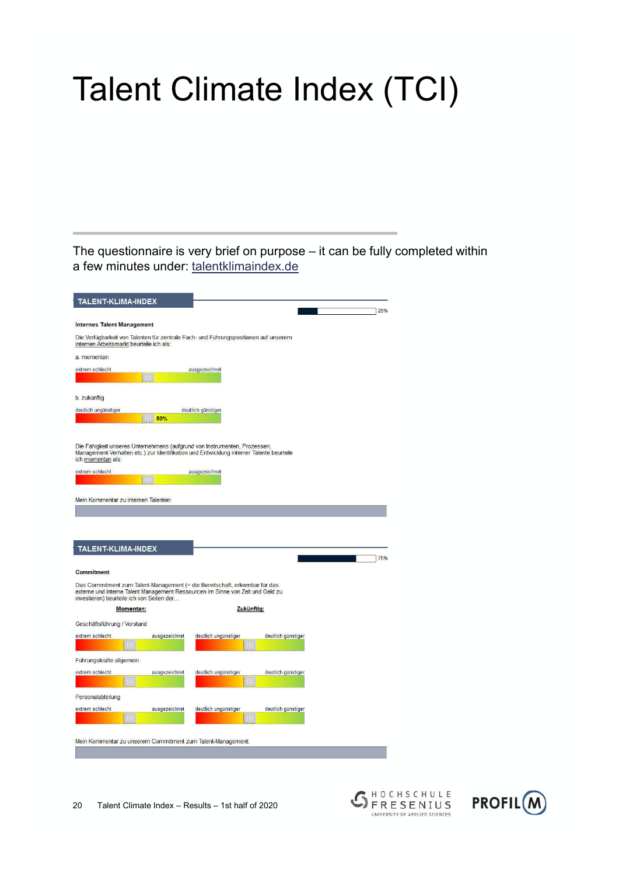The questionnaire is very brief on purpose – it can be fully completed within a few minutes under: talentklimaindex.de

| <b>TALENT-KLIMA-INDEX</b>                                                                                                                                                                                  |                      |                    |     |
|------------------------------------------------------------------------------------------------------------------------------------------------------------------------------------------------------------|----------------------|--------------------|-----|
|                                                                                                                                                                                                            |                      |                    | 25% |
| <b>Internes Talent Management</b>                                                                                                                                                                          |                      |                    |     |
| Die Verfügbarkeit von Talenten für zentrale Fach- und Führungspositionen auf unserem<br>internen Arbeitsmarkt beurteile ich als:                                                                           |                      |                    |     |
| a. momentan                                                                                                                                                                                                |                      |                    |     |
| extrem schlecht                                                                                                                                                                                            | ausgezeichnet        |                    |     |
| b. zukünftig                                                                                                                                                                                               |                      |                    |     |
| deutlich ungünstiger<br>50%                                                                                                                                                                                | deutlich günstiger   |                    |     |
| Die Fähigkeit unseres Unternehmens (aufgrund von Instrumenten, Prozessen,<br>Management-Verhalten etc.) zur Identifikation und Entwicklung interner Talente beurteile<br>ich momentan als:                 |                      |                    |     |
| extrem schlecht<br>mo                                                                                                                                                                                      | ausgezeichnet        |                    |     |
| Mein Kommentar zu internen Talenten:                                                                                                                                                                       |                      |                    |     |
|                                                                                                                                                                                                            |                      |                    |     |
|                                                                                                                                                                                                            |                      |                    |     |
| TALENT-KLIMA-INDEX                                                                                                                                                                                         |                      |                    |     |
|                                                                                                                                                                                                            |                      |                    | 75% |
| <b>Commitment</b>                                                                                                                                                                                          |                      |                    |     |
| Das Commitment zum Talent-Management (= die Bereitschaft, erkennbar für das<br>externe und interne Talent Management Ressourcen im Sinne von Zeit und Geld zu<br>investieren) beurteile ich von Seiten der |                      |                    |     |
| <b>Momentan:</b>                                                                                                                                                                                           | Zukünftig:           |                    |     |
| Geschäftsführung / Vorstand                                                                                                                                                                                |                      |                    |     |
| extrem schlecht<br>ausgezeichnet<br>m                                                                                                                                                                      | deutlich ungünstiger | deutlich günstiger |     |
| Führungskräfte allgemein                                                                                                                                                                                   |                      |                    |     |
| extrem schlecht<br>ausgezeichnet                                                                                                                                                                           | deutlich ungünstiger | deutlich günstiger |     |
| Personalabteilung                                                                                                                                                                                          |                      |                    |     |
| extrem schlecht<br>ausgezeichnet                                                                                                                                                                           | deutlich ungünstiger | deutlich günstiger |     |
|                                                                                                                                                                                                            |                      |                    |     |
| Mein Kommentar zu unserem Commitment zum Talent-Management:                                                                                                                                                |                      |                    |     |
|                                                                                                                                                                                                            |                      |                    |     |
|                                                                                                                                                                                                            |                      |                    |     |



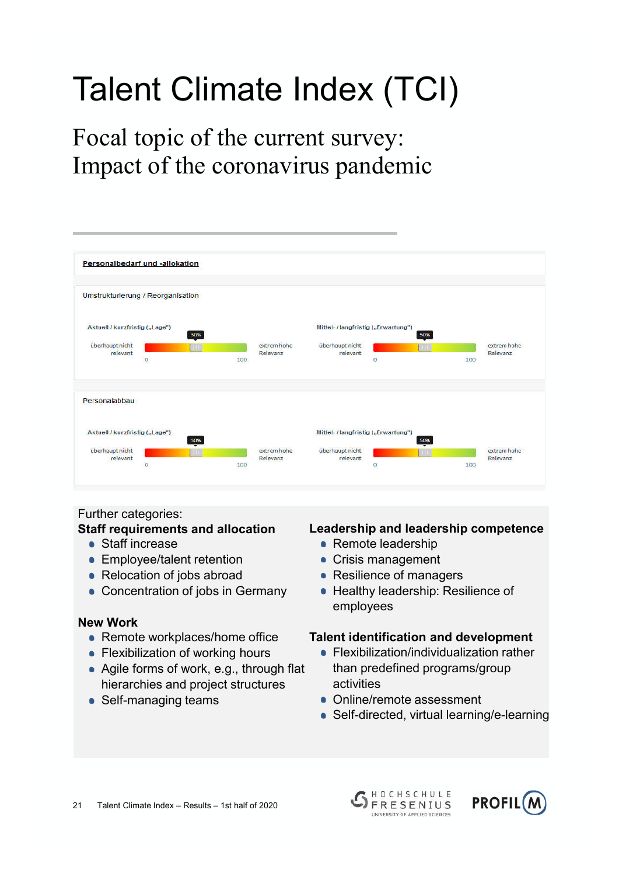Focal topic of the current survey: Impact of the coronavirus pandemic

| Personalbedarf und -allokation        |                                   |                                          |             |                 |             |     |             |  |  |
|---------------------------------------|-----------------------------------|------------------------------------------|-------------|-----------------|-------------|-----|-------------|--|--|
|                                       | Umstrukturierung / Reorganisation |                                          |             |                 |             |     |             |  |  |
| Aktuell / kurzfristig ("Lage")<br>50% |                                   | Mittel-/langfristig ("Erwartung")<br>50% |             |                 |             |     |             |  |  |
| überhaupt nicht                       | um                                |                                          | extrem hohe | überhaupt nicht | <b>DOUG</b> |     | extrem hohe |  |  |
| relevant                              | $\circ$                           | 100                                      | Relevanz    | relevant        | o           | 100 | Relevanz    |  |  |
| Personalabbau                         |                                   |                                          |             |                 |             |     |             |  |  |
| Aktuell / kurzfristig ("Lage")<br>50% |                                   | Mittel-/langfristig ("Erwartung")<br>50% |             |                 |             |     |             |  |  |
| überhaupt nicht                       | <b>MTLI</b>                       |                                          | extrem hohe | überhaupt nicht | <b>DOM:</b> |     | extrem hohe |  |  |
|                                       |                                   |                                          | Relevanz    | relevant        |             |     | Relevanz    |  |  |

#### Further categories:

#### Staff requirements and allocation

- Staff increase
- **Employee/talent retention**
- Relocation of jobs abroad
- **Concentration of jobs in Germany**

#### New Work

- Remote workplaces/home office
- Flexibilization of working hours
- Agile forms of work, e.g., through flat hierarchies and project structures
- Self-managing teams

#### Leadership and leadership competence

- Remote leadership
- Crisis management
- Resilience of managers
- Healthy leadership: Resilience of employees

#### Talent identification and development

- **Flexibilization/individualization rather** than predefined programs/group activities
- Online/remote assessment
- Self-directed, virtual learning/e-learning





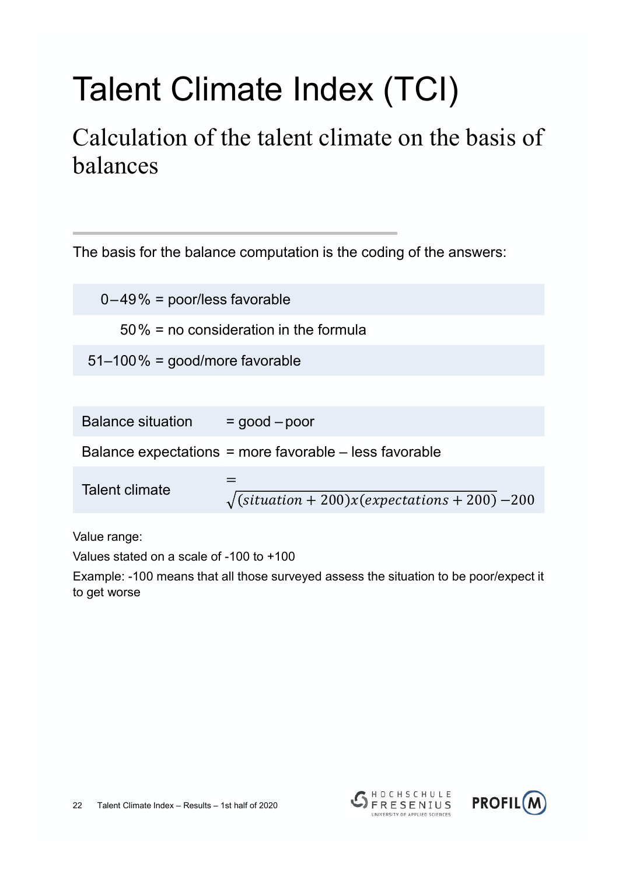### Calculation of the talent climate on the basis of balances

The basis for the balance computation is the coding of the answers:

0–49% = poor/less favorable

50% = no consideration in the formula

51–100% = good/more favorable

Balance situation  $=$  good  $-poor$ 

Balance expectations = more favorable – less favorable

 $T$ alent climate  $\overline{a}$ 

 $\sqrt{(situation + 200)x(expectations + 200)} - 200$ 

Value range:

Values stated on a scale of -100 to +100

Example: -100 means that all those surveyed assess the situation to be poor/expect it to get worse



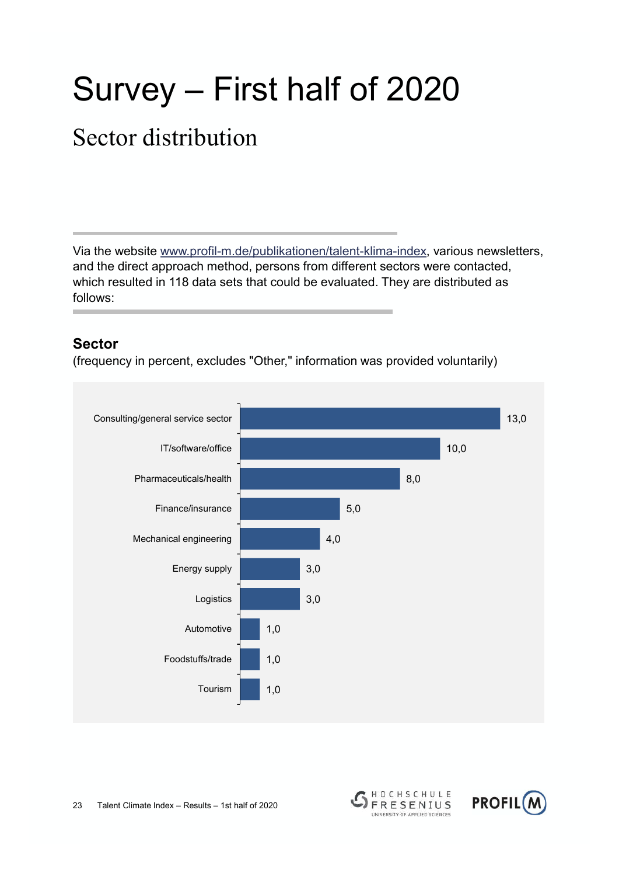## Survey – First half of 2020

### Sector distribution

Via the website www.profil-m.de/publikationen/talent-klima-index, various newsletters, and the direct approach method, persons from different sectors were contacted, which resulted in 118 data sets that could be evaluated. They are distributed as follows:

#### Sector

(frequency in percent, excludes "Other," information was provided voluntarily)





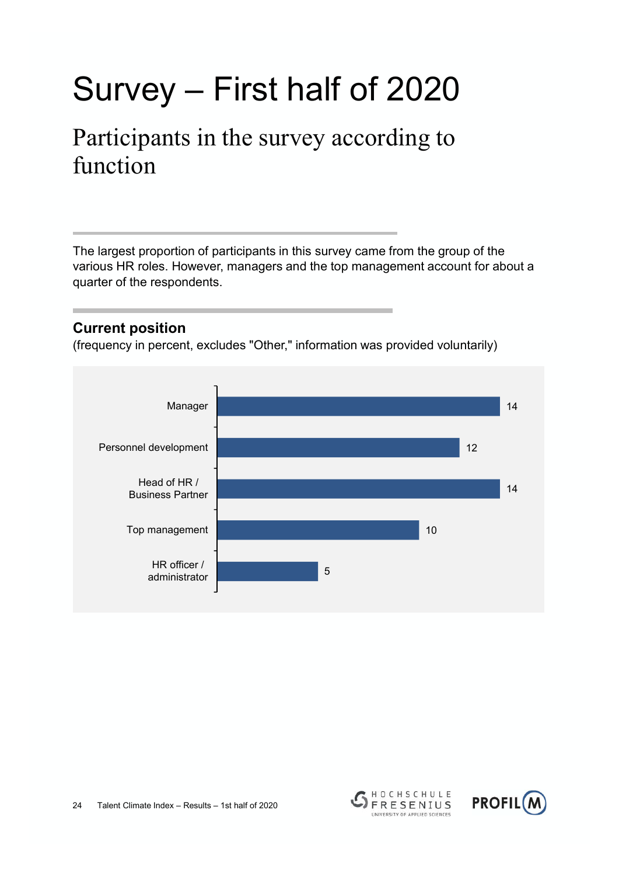## Survey – First half of 2020

### Participants in the survey according to function

The largest proportion of participants in this survey came from the group of the various HR roles. However, managers and the top management account for about a quarter of the respondents.

#### Current position

(frequency in percent, excludes "Other," information was provided voluntarily)





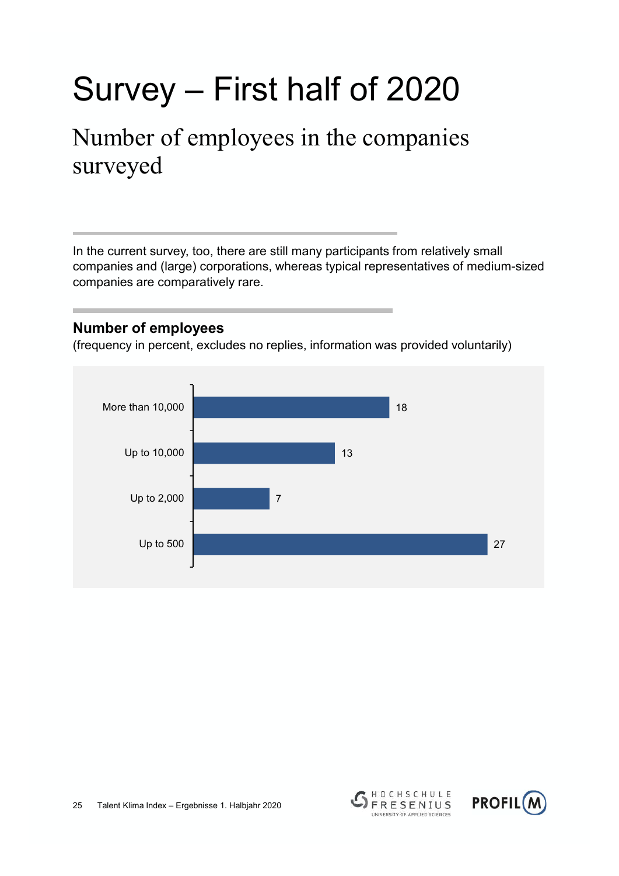## Survey – First half of 2020

### Number of employees in the companies surveyed

In the current survey, too, there are still many participants from relatively small companies and (large) corporations, whereas typical representatives of medium-sized companies are comparatively rare.

#### Number of employees

(frequency in percent, excludes no replies, information was provided voluntarily)